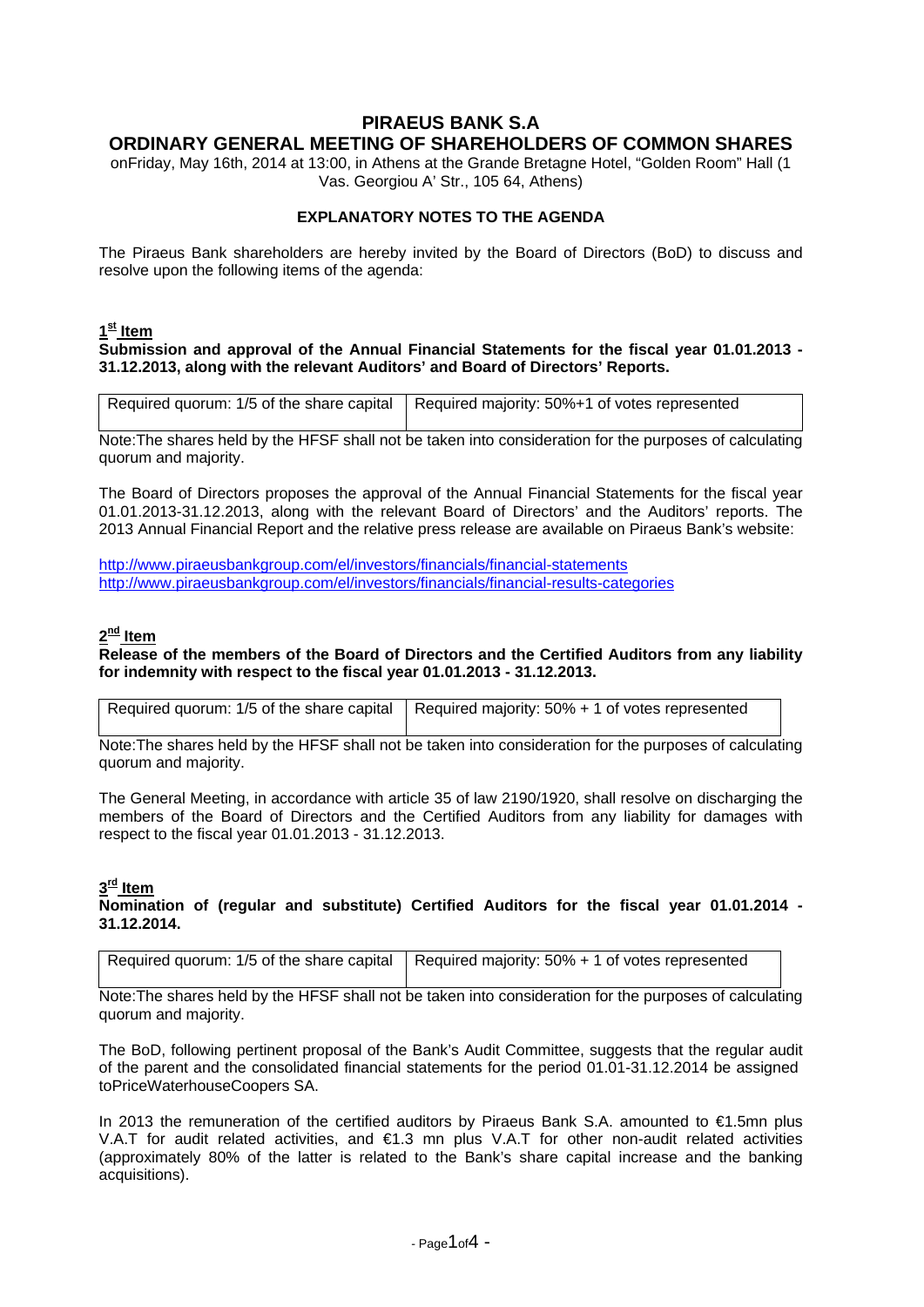# **PIRAEUS BANK S.A ORDINARY GENERAL MEETING OF SHAREHOLDERS OF COMMON SHARES**

onFriday, May 16th, 2014 at 13:00, in Athens at the Grande Bretagne Hotel, "Golden Room" Hall (1 Vas. Georgiou A' Str., 105 64, Athens)

## **EXPLANATORY NOTES TO THE AGENDA**

The Piraeus Bank shareholders are hereby invited by the Board of Directors (BoD) to discuss and resolve upon the following items of the agenda:

# **1st Item**

#### **Submission and approval of the Annual Financial Statements for the fiscal year 01.01.2013 - 31.12.2013, along with the relevant Auditors' and Board of Directors' Reports.**

| Required quorum: 1/5 of the share capital   Required majority: 50%+1 of votes represented |
|-------------------------------------------------------------------------------------------|
|                                                                                           |

Note:The shares held by the HFSF shall not be taken into consideration for the purposes of calculating quorum and majority.

The Board of Directors proposes the approval of the Annual Financial Statements for the fiscal year 01.01.2013-31.12.2013, along with the relevant Board of Directors' and the Auditors' reports. The 2013 Annual Financial Report and the relative press release are available on Piraeus Bank's website:

<http://www.piraeusbankgroup.com/el/investors/financials/financial-statements> <http://www.piraeusbankgroup.com/el/investors/financials/financial-results-categories>

### **2nd Item**

**Release of the members of the Board of Directors and the Certified Auditors from any liability for indemnity with respect to the fiscal year 01.01.2013 - 31.12.2013.**

| Required quorum: 1/5 of the share capital   Required majority: 50% + 1 of votes represented |
|---------------------------------------------------------------------------------------------|

Note:The shares held by the HFSF shall not be taken into consideration for the purposes of calculating quorum and majority.

The General Meeting, in accordance with article 35 of law 2190/1920, shall resolve on discharging the members of the Board of Directors and the Certified Auditors from any liability for damages with respect to the fiscal year 01.01.2013 - 31.12.2013.

## **3rd Item**

#### **Nomination of (regular and substitute) Certified Auditors for the fiscal year 01.01.2014 - 31.12.2014.**

Note:The shares held by the HFSF shall not be taken into consideration for the purposes of calculating quorum and majority.

The BoD, following pertinent proposal of the Bank's Audit Committee, suggests that the regular audit of the parent and the consolidated financial statements for the period 01.01-31.12.2014 be assigned toPriceWaterhouseCoopers SA.

In 2013 the remuneration of the certified auditors by Piraeus Bank S.A. amounted to €1.5mn plus V.A.T for audit related activities, and €1.3 mn plus V.A.T for other non-audit related activities (approximately 80% of the latter is related to the Bank's share capital increase and the banking acquisitions).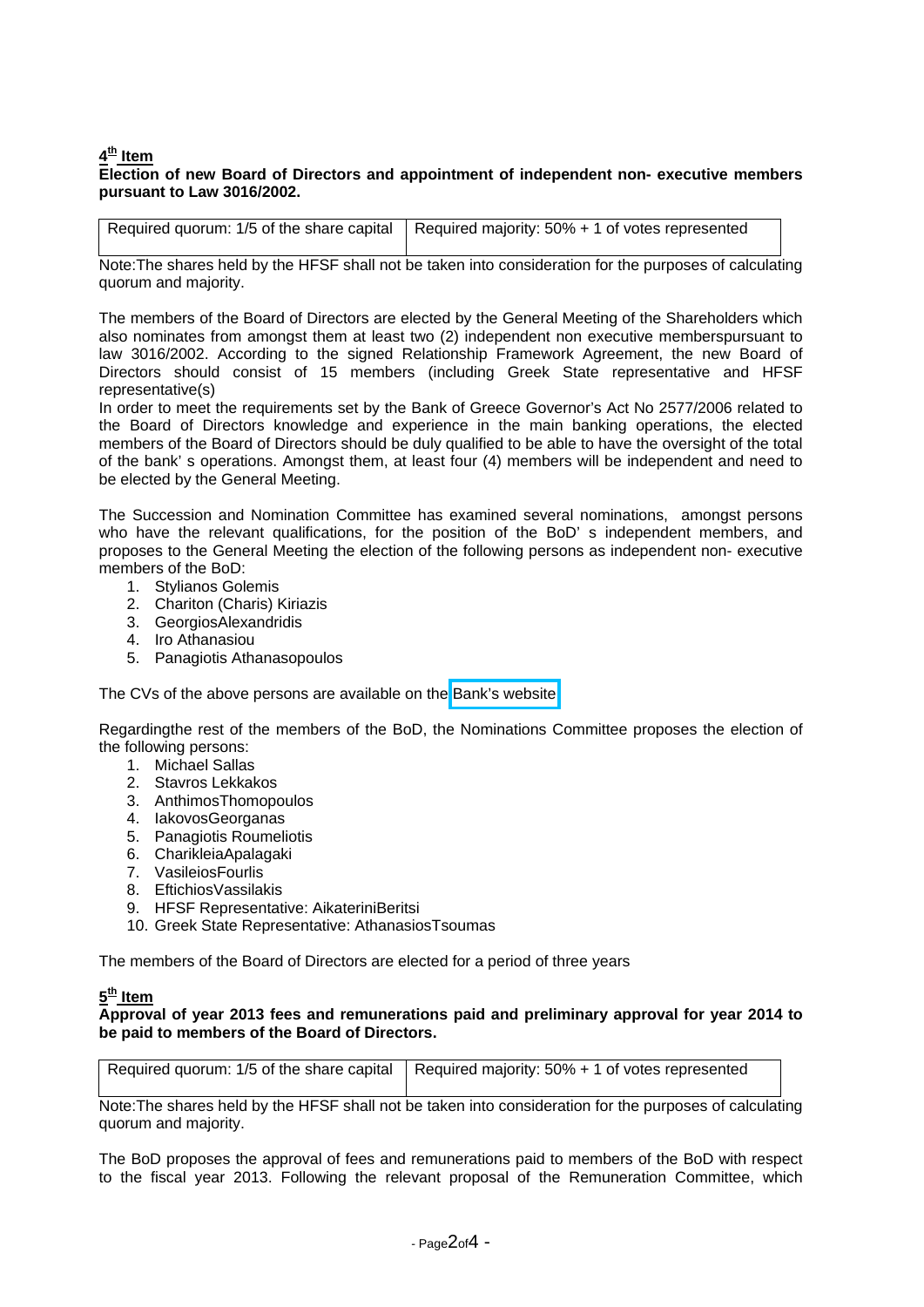## **4th Item**

### **Election of new Board of Directors and appointment of independent non- executive members pursuant to Law 3016/2002.**

|  | Required quorum: 1/5 of the share capital   Required majority: 50% + 1 of votes represented |
|--|---------------------------------------------------------------------------------------------|
|--|---------------------------------------------------------------------------------------------|

Note:The shares held by the HFSF shall not be taken into consideration for the purposes of calculating quorum and majority.

The members of the Board of Directors are elected by the General Meeting of the Shareholders which also nominates from amongst them at least two (2) independent non executive memberspursuant to law 3016/2002. According to the signed Relationship Framework Agreement, the new Board of Directors should consist of 15 members (including Greek State representative and HFSF representative(s)

In order to meet the requirements set by the Bank of Greece Governor's Act No 2577/2006 related to the Board of Directors knowledge and experience in the main banking operations, the elected members of the Board of Directors should be duly qualified to be able to have the oversight of the total of the bank' s operations. Amongst them, at least four (4) members will be independent and need to be elected by the General Meeting.

The Succession and Nomination Committee has examined several nominations, amongst persons who have the relevant qualifications, for the position of the BoD' s independent members, and proposes to the General Meeting the election of the following persons as independent non- executive members of the BoD:

- 1. Stylianos Golemis
- 2. Chariton (Charis) Kiriazis
- 3. GeorgiosAlexandridis
- 4. Iro Athanasiou
- 5. Panagiotis Athanasopoulos

The CVs of the above persons are available on the Bank's [website](http://www.piraeusbankgroup.com/~/media/Com/Downloads/Investors/General-Meetings/en/16-05-2014/athanassopoulos-athanasiou-kiriazis-en.pdf)

Regardingthe rest of the members of the BoD, the Nominations Committee proposes the election of the following persons:

- 1. Michael Sallas
- 2. Stavros Lekkakos
- 3. AnthimosThomopoulos
- 4. IakovosGeorganas
- 5. Panagiotis Roumeliotis
- 6. CharikleiaApalagaki
- 7. VasileiosFourlis
- 8. EftichiosVassilakis
- 9. HFSF Representative: AikateriniBeritsi
- 10. Greek State Representative: AthanasiosTsoumas

The members of the Board of Directors are elected for a period of three years

# **5th Item**

**Approval of year 2013 fees and remunerations paid and preliminary approval for year 2014 to be paid to members of the Board of Directors.**

| Required quorum: 1/5 of the share capital   Required majority: 50% + 1 of votes represented |
|---------------------------------------------------------------------------------------------|
|                                                                                             |

Note:The shares held by the HFSF shall not be taken into consideration for the purposes of calculating quorum and majority.

The BoD proposes the approval of fees and remunerations paid to members of the BoD with respect to the fiscal year 2013. Following the relevant proposal of the Remuneration Committee, which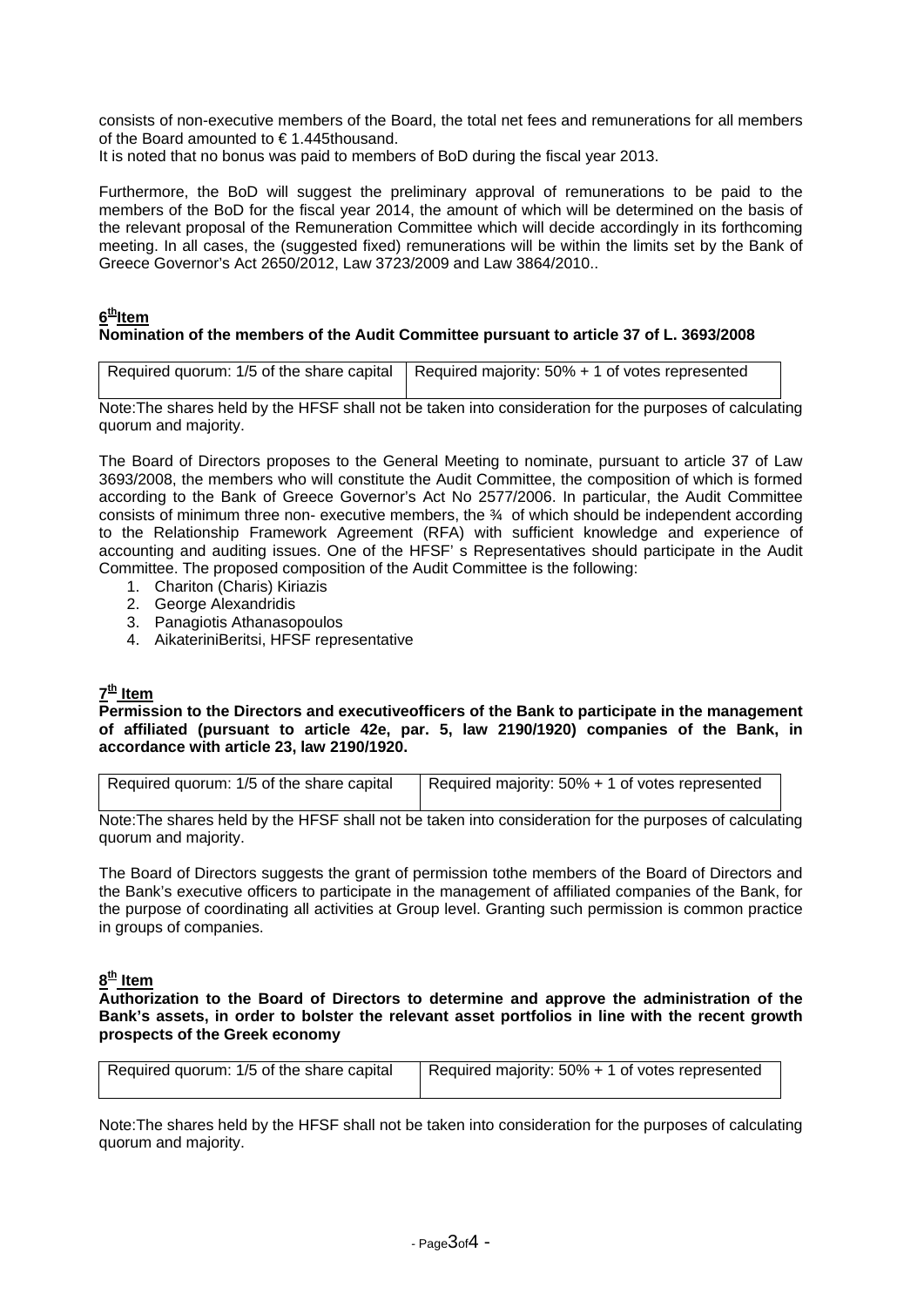consists of non-executive members of the Board, the total net fees and remunerations for all members of the Board amounted to € 1.445thousand.

It is noted that no bonus was paid to members of BoD during the fiscal year 2013.

Furthermore, the BoD will suggest the preliminary approval of remunerations to be paid to the members of the BoD for the fiscal year 2014, the amount of which will be determined on the basis of the relevant proposal of the Remuneration Committee which will decide accordingly in its forthcoming meeting. In all cases, the (suggested fixed) remunerations will be within the limits set by the Bank of Greece Governor's Act 2650/2012, Law 3723/2009 and Law 3864/2010..

### **6thItem Nomination of the members of the Audit Committee pursuant to article 37 of L. 3693/2008**

| Required quorum: 1/5 of the share capital   Required majority: 50% + 1 of votes represented |
|---------------------------------------------------------------------------------------------|

Note:The shares held by the HFSF shall not be taken into consideration for the purposes of calculating quorum and majority.

The Board of Directors proposes to the General Meeting to nominate, pursuant to article 37 of Law 3693/2008, the members who will constitute the Audit Committee, the composition of which is formed according to the Bank of Greece Governor's Act No 2577/2006. In particular, the Audit Committee consists of minimum three non- executive members, the  $\frac{3}{4}$  of which should be independent according to the Relationship Framework Agreement (RFA) with sufficient knowledge and experience of accounting and auditing issues. One of the HFSF' s Representatives should participate in the Audit Committee. The proposed composition of the Audit Committee is the following:

- 1. Chariton (Charis) Kiriazis
- 2. George Alexandridis
- 3. Panagiotis Athanasopoulos
- 4. AikateriniBeritsi, HFSF representative

# **7th Item**

**Permission to the Directors and executiveofficers of the Bank to participate in the management of affiliated (pursuant to article 42e, par. 5, law 2190/1920) companies of the Bank, in accordance with article 23, law 2190/1920.**

| Required quorum: 1/5 of the share capital | Required majority: 50% + 1 of votes represented |
|-------------------------------------------|-------------------------------------------------|
|                                           |                                                 |

Note:The shares held by the HFSF shall not be taken into consideration for the purposes of calculating quorum and majority.

The Board of Directors suggests the grant of permission tothe members of the Board of Directors and the Bank's executive officers to participate in the management of affiliated companies of the Bank, for the purpose of coordinating all activities at Group level. Granting such permission is common practice in groups of companies.

### **8th Item**

**Authorization to the Board of Directors to determine and approve the administration of the Bank's assets, in order to bolster the relevant asset portfolios in line with the recent growth prospects of the Greek economy** 

| Required quorum: 1/5 of the share capital | <sup>1</sup> Required majority: 50% + 1 of votes represented |
|-------------------------------------------|--------------------------------------------------------------|
|                                           |                                                              |

Note:The shares held by the HFSF shall not be taken into consideration for the purposes of calculating quorum and majority.